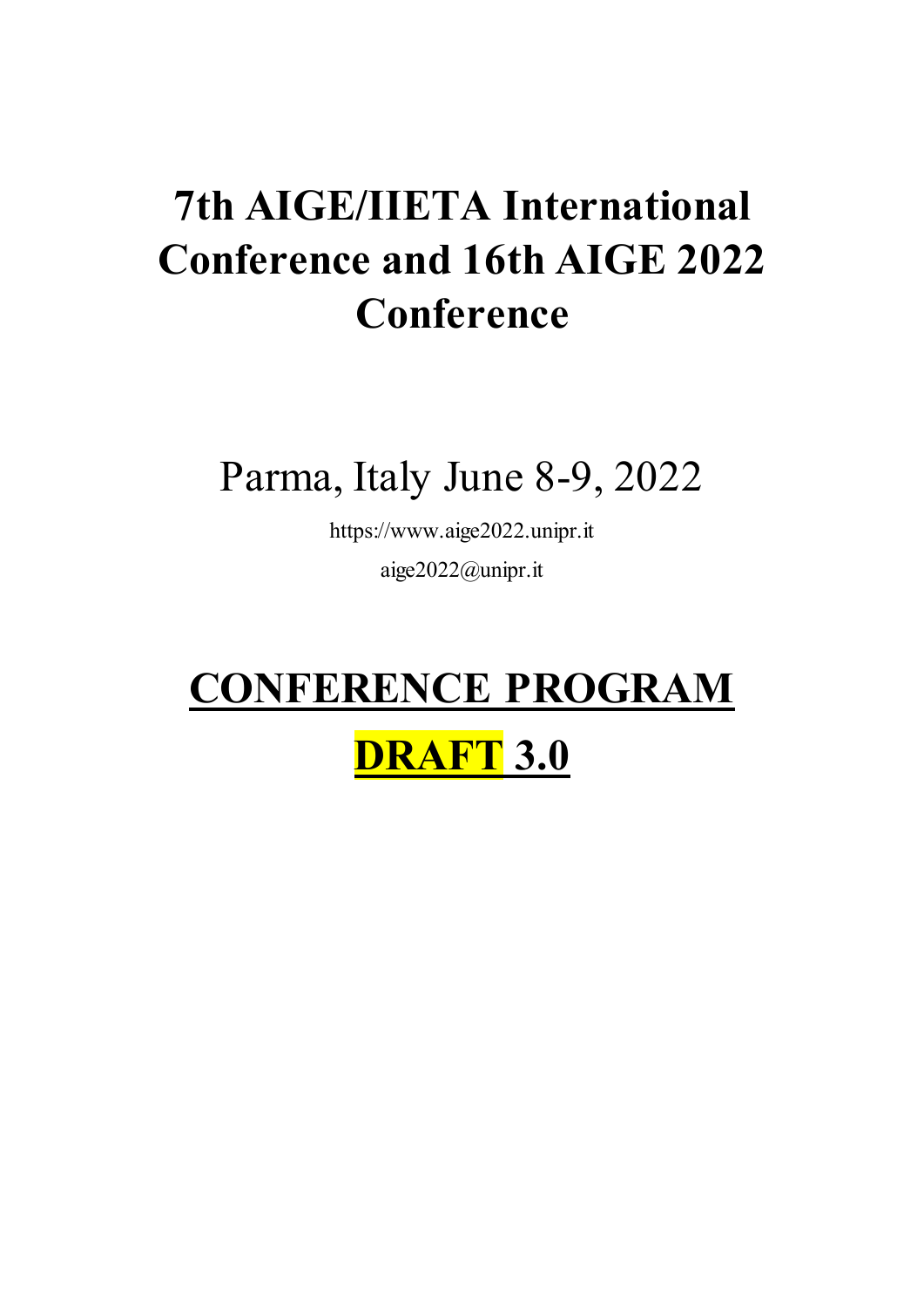# **7th AIGE/IIETA International Conference and 16th AIGE 2022 Conference**

Parma, Italy June 8-9, 2022

https://www.aige2022.unipr.it aige2022@unipr.it

# **CONFERENCE PROGRAM**

## **DRAFT 3.0**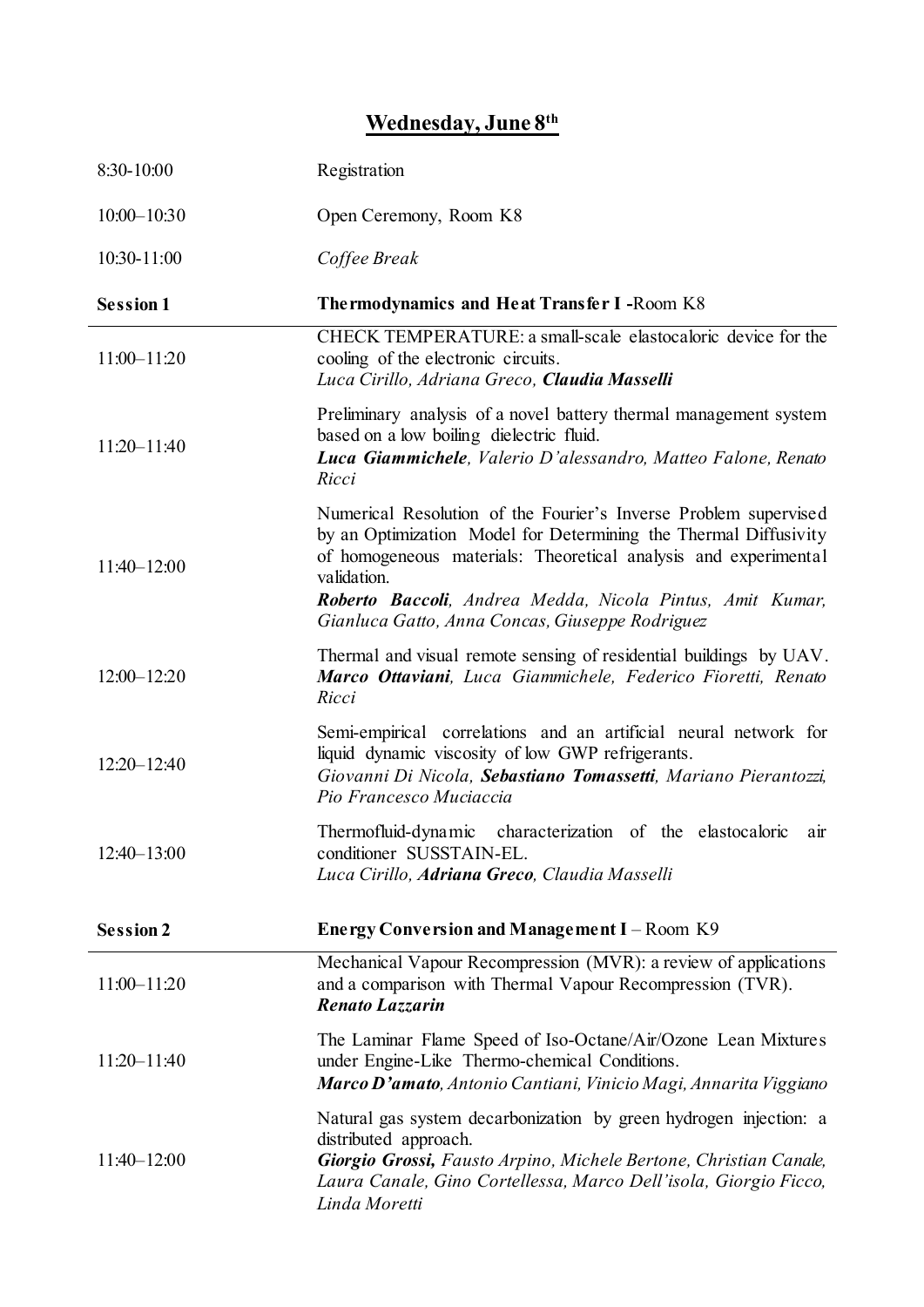## **Wednesday, June 8th**

| 8:30-10:00       | Registration                                                                                                                                                                                                                                                                                                                           |
|------------------|----------------------------------------------------------------------------------------------------------------------------------------------------------------------------------------------------------------------------------------------------------------------------------------------------------------------------------------|
| $10:00 - 10:30$  | Open Ceremony, Room K8                                                                                                                                                                                                                                                                                                                 |
| 10:30-11:00      | Coffee Break                                                                                                                                                                                                                                                                                                                           |
| <b>Session 1</b> | The rmodynamics and Heat Transfer I-Room K8                                                                                                                                                                                                                                                                                            |
| $11:00 - 11:20$  | CHECK TEMPERATURE: a small-scale elastocaloric device for the<br>cooling of the electronic circuits.<br>Luca Cirillo, Adriana Greco, Claudia Masselli                                                                                                                                                                                  |
| $11:20 - 11:40$  | Preliminary analysis of a novel battery thermal management system<br>based on a low boiling dielectric fluid.<br>Luca Giammichele, Valerio D'alessandro, Matteo Falone, Renato<br>Ricci                                                                                                                                                |
| $11:40 - 12:00$  | Numerical Resolution of the Fourier's Inverse Problem supervised<br>by an Optimization Model for Determining the Thermal Diffusivity<br>of homogeneous materials: Theoretical analysis and experimental<br>validation.<br>Roberto Baccoli, Andrea Medda, Nicola Pintus, Amit Kumar,<br>Gianluca Gatto, Anna Concas, Giuseppe Rodriguez |
| $12:00 - 12:20$  | Thermal and visual remote sensing of residential buildings by UAV.<br>Marco Ottaviani, Luca Giammichele, Federico Fioretti, Renato<br>Ricci                                                                                                                                                                                            |
| $12:20 - 12:40$  | Semi-empirical correlations and an artificial neural network for<br>liquid dynamic viscosity of low GWP refrigerants.<br>Giovanni Di Nicola, Sebastiano Tomassetti, Mariano Pierantozzi,<br>Pio Francesco Muciaccia                                                                                                                    |
| $12:40 - 13:00$  | Thermofluid-dynamic characterization of the elastocaloric<br>air<br>conditioner SUSSTAIN-EL.<br>Luca Cirillo, Adriana Greco, Claudia Masselli                                                                                                                                                                                          |
| <b>Session 2</b> | Energy Conversion and Management I – Room K9                                                                                                                                                                                                                                                                                           |
| $11:00 - 11:20$  | Mechanical Vapour Recompression (MVR): a review of applications<br>and a comparison with Thermal Vapour Recompression (TVR).<br><b>Renato Lazzarin</b>                                                                                                                                                                                 |
| $11:20 - 11:40$  | The Laminar Flame Speed of Iso-Octane/Air/Ozone Lean Mixtures<br>under Engine-Like Thermo-chemical Conditions.<br>Marco D'amato, Antonio Cantiani, Vinicio Magi, Annarita Viggiano                                                                                                                                                     |
| $11:40 - 12:00$  | Natural gas system decarbonization by green hydrogen injection: a<br>distributed approach.<br>Giorgio Grossi, Fausto Arpino, Michele Bertone, Christian Canale,<br>Laura Canale, Gino Cortellessa, Marco Dell'isola, Giorgio Ficco,<br>Linda Moretti                                                                                   |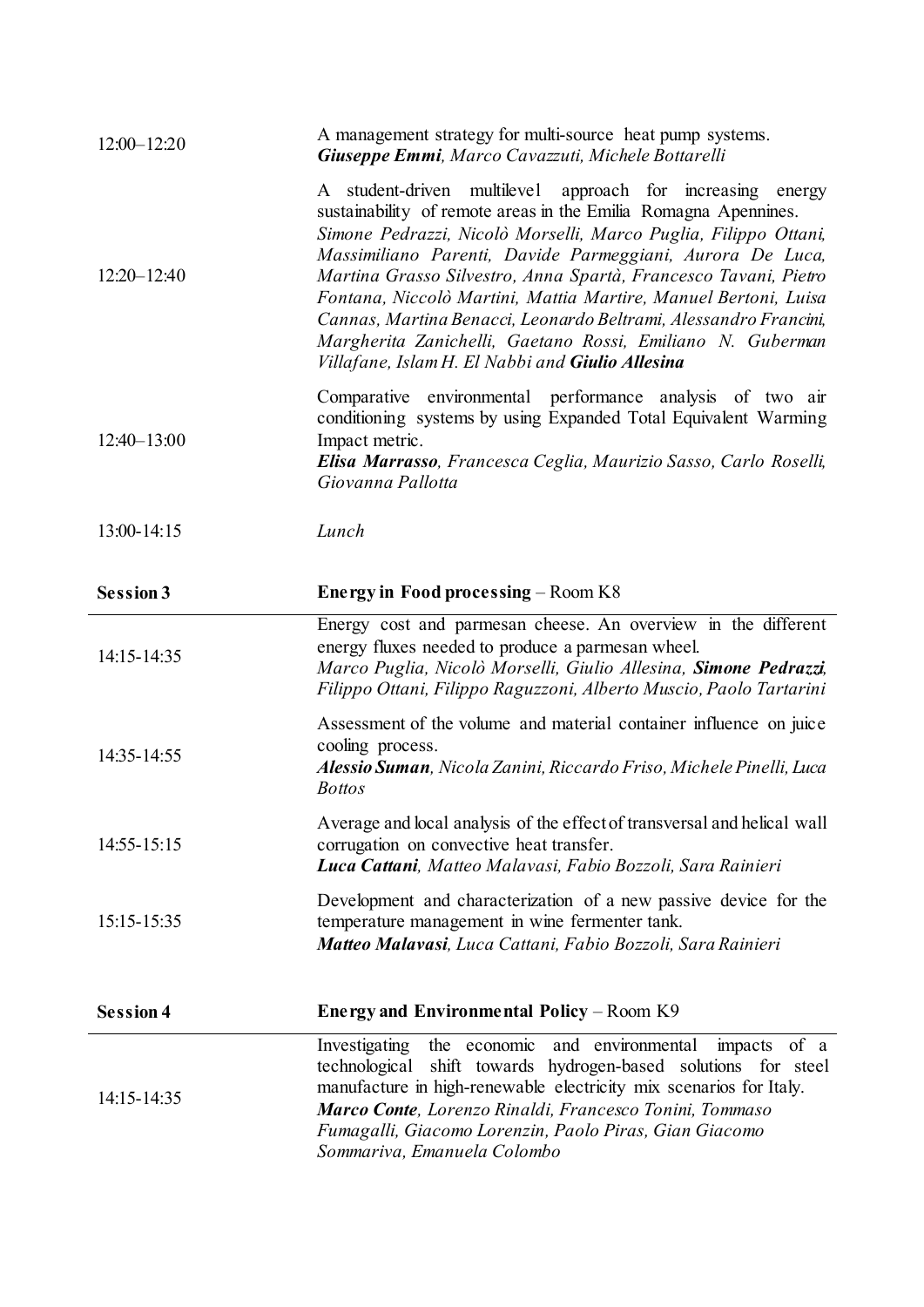| $12:00 - 12:20$  | A management strategy for multi-source heat pump systems.<br>Giuseppe Emmi, Marco Cavazzuti, Michele Bottarelli                                                                                                                                                                                                                                                                                                                                                                                                                                                                                  |
|------------------|--------------------------------------------------------------------------------------------------------------------------------------------------------------------------------------------------------------------------------------------------------------------------------------------------------------------------------------------------------------------------------------------------------------------------------------------------------------------------------------------------------------------------------------------------------------------------------------------------|
| $12:20 - 12:40$  | A student-driven multilevel approach for increasing energy<br>sustainability of remote areas in the Emilia Romagna Apennines.<br>Simone Pedrazzi, Nicolò Morselli, Marco Puglia, Filippo Ottani,<br>Massimiliano Parenti, Davide Parmeggiani, Aurora De Luca,<br>Martina Grasso Silvestro, Anna Spartà, Francesco Tavani, Pietro<br>Fontana, Niccolò Martini, Mattia Martire, Manuel Bertoni, Luisa<br>Cannas, Martina Benacci, Leonardo Beltrami, Alessandro Francini,<br>Margherita Zanichelli, Gaetano Rossi, Emiliano N. Guberman<br>Villafane, Islam H. El Nabbi and <b>Giulio Allesina</b> |
| $12:40 - 13:00$  | Comparative environmental performance analysis of two air<br>conditioning systems by using Expanded Total Equivalent Warming<br>Impact metric.<br>Elisa Marrasso, Francesca Ceglia, Maurizio Sasso, Carlo Roselli,<br>Giovanna Pallotta                                                                                                                                                                                                                                                                                                                                                          |
| 13:00-14:15      | Lunch                                                                                                                                                                                                                                                                                                                                                                                                                                                                                                                                                                                            |
| <b>Session 3</b> | <b>Energy in Food processing – Room K8</b>                                                                                                                                                                                                                                                                                                                                                                                                                                                                                                                                                       |
| 14:15-14:35      | Energy cost and parmesan cheese. An overview in the different<br>energy fluxes needed to produce a parmesan wheel.<br>Marco Puglia, Nicolò Morselli, Giulio Allesina, Simone Pedrazzi,<br>Filippo Ottani, Filippo Raguzzoni, Alberto Muscio, Paolo Tartarini                                                                                                                                                                                                                                                                                                                                     |
| 14:35-14:55      | Assessment of the volume and material container influence on juice<br>cooling process.<br>Alessio Suman, Nicola Zanini, Riccardo Friso, Michele Pinelli, Luca<br><b>Bottos</b>                                                                                                                                                                                                                                                                                                                                                                                                                   |
| 14:55-15:15      | Average and local analysis of the effect of transversal and helical wall<br>corrugation on convective heat transfer.<br>Luca Cattani, Matteo Malavasi, Fabio Bozzoli, Sara Rainieri                                                                                                                                                                                                                                                                                                                                                                                                              |
| 15:15-15:35      | Development and characterization of a new passive device for the<br>temperature management in wine fermenter tank.<br>Matteo Malavasi, Luca Cattani, Fabio Bozzoli, Sara Rainieri                                                                                                                                                                                                                                                                                                                                                                                                                |
| <b>Session 4</b> | Energy and Environmental Policy – Room K9                                                                                                                                                                                                                                                                                                                                                                                                                                                                                                                                                        |
| 14:15-14:35      | the economic and environmental<br>Investigating<br>impacts of a<br>shift towards hydrogen-based solutions for steel<br>technological<br>manufacture in high-renewable electricity mix scenarios for Italy.<br>Marco Conte, Lorenzo Rinaldi, Francesco Tonini, Tommaso<br>Fumagalli, Giacomo Lorenzin, Paolo Piras, Gian Giacomo<br>Sommariva, Emanuela Colombo                                                                                                                                                                                                                                   |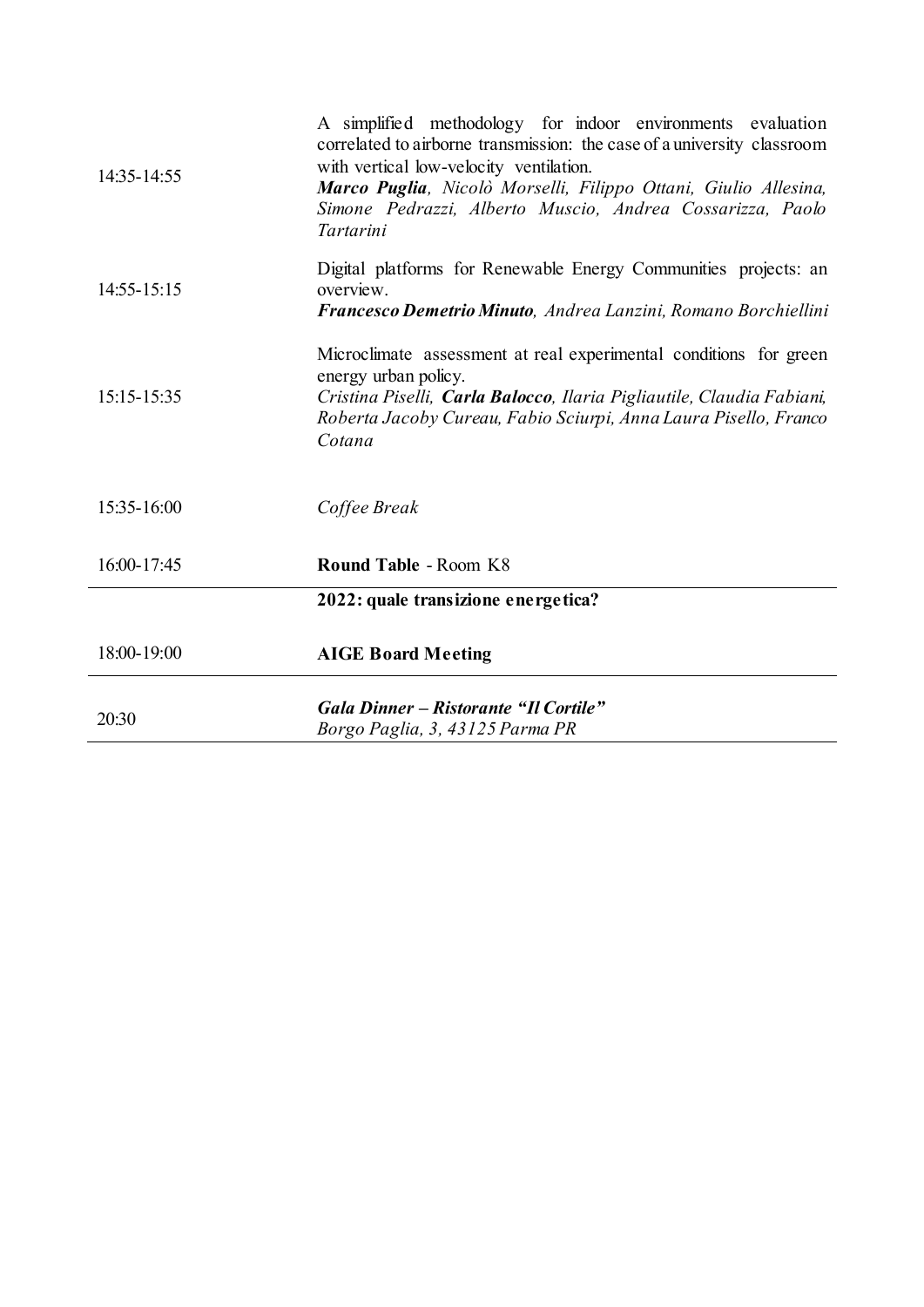| 14:35-14:55 | A simplified methodology for indoor environments evaluation<br>correlated to airborne transmission: the case of a university classroom<br>with vertical low-velocity ventilation.<br>Marco Puglia, Nicolò Morselli, Filippo Ottani, Giulio Allesina,<br>Simone Pedrazzi, Alberto Muscio, Andrea Cossarizza, Paolo<br>Tartarini |
|-------------|--------------------------------------------------------------------------------------------------------------------------------------------------------------------------------------------------------------------------------------------------------------------------------------------------------------------------------|
| 14:55-15:15 | Digital platforms for Renewable Energy Communities projects: an<br>overview.<br>Francesco Demetrio Minuto, Andrea Lanzini, Romano Borchiellini                                                                                                                                                                                 |
| 15:15-15:35 | Microclimate assessment at real experimental conditions for green<br>energy urban policy.<br>Cristina Piselli, Carla Balocco, Ilaria Pigliautile, Claudia Fabiani,<br>Roberta Jacoby Cureau, Fabio Sciurpi, Anna Laura Pisello, Franco<br>Cotana                                                                               |
| 15:35-16:00 | Coffee Break                                                                                                                                                                                                                                                                                                                   |
| 16:00-17:45 | <b>Round Table - Room K8</b>                                                                                                                                                                                                                                                                                                   |
|             | 2022: quale transizione energetica?                                                                                                                                                                                                                                                                                            |
| 18:00-19:00 | <b>AIGE Board Meeting</b>                                                                                                                                                                                                                                                                                                      |
| 20:30       | Gala Dinner - Ristorante "Il Cortile"<br>Borgo Paglia, 3, 43125 Parma PR                                                                                                                                                                                                                                                       |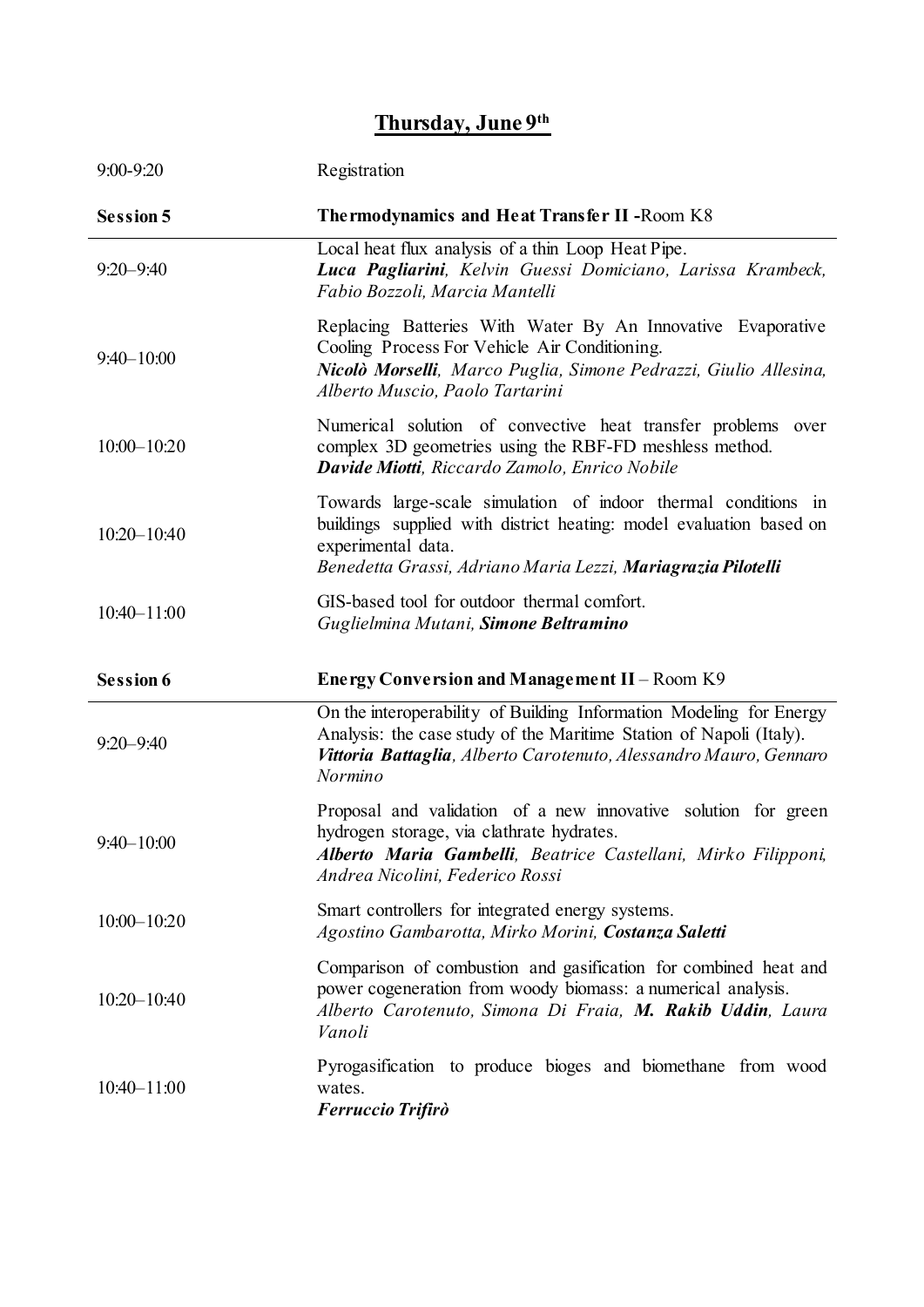### **Thursday, June 9th**

| 9:00-9:20        | Registration                                                                                                                                                                                                                |
|------------------|-----------------------------------------------------------------------------------------------------------------------------------------------------------------------------------------------------------------------------|
| <b>Session 5</b> | <b>Thermodynamics and Heat Transfer II - Room K8</b>                                                                                                                                                                        |
| $9:20 - 9:40$    | Local heat flux analysis of a thin Loop Heat Pipe.<br>Luca Pagliarini, Kelvin Guessi Domiciano, Larissa Krambeck,<br>Fabio Bozzoli, Marcia Mantelli                                                                         |
| $9:40 - 10:00$   | Replacing Batteries With Water By An Innovative Evaporative<br>Cooling Process For Vehicle Air Conditioning.<br>Nicolò Morselli, Marco Puglia, Simone Pedrazzi, Giulio Allesina,<br>Alberto Muscio, Paolo Tartarini         |
| $10:00 - 10:20$  | Numerical solution of convective heat transfer problems<br>over<br>complex 3D geometries using the RBF-FD meshless method.<br>Davide Miotti, Riccardo Zamolo, Enrico Nobile                                                 |
| $10:20 - 10:40$  | Towards large-scale simulation of indoor thermal conditions in<br>buildings supplied with district heating: model evaluation based on<br>experimental data.<br>Benedetta Grassi, Adriano Maria Lezzi, Mariagrazia Pilotelli |
| $10:40 - 11:00$  | GIS-based tool for outdoor thermal comfort.<br>Guglielmina Mutani, Simone Beltramino                                                                                                                                        |
| <b>Session 6</b> | Energy Conversion and Management II - Room K9                                                                                                                                                                               |
| $9:20 - 9:40$    | On the interoperability of Building Information Modeling for Energy<br>Analysis: the case study of the Maritime Station of Napoli (Italy).<br>Vittoria Battaglia, Alberto Carotenuto, Alessandro Mauro, Gennaro<br>Normino  |
| $9:40 - 10:00$   | Proposal and validation of a new innovative solution for green<br>hydrogen storage, via clathrate hydrates.<br>Alberto Maria Gambelli, Beatrice Castellani, Mirko Filipponi,<br>Andrea Nicolini, Federico Rossi             |
| $10:00 - 10:20$  | Smart controllers for integrated energy systems.<br>Agostino Gambarotta, Mirko Morini, Costanza Saletti                                                                                                                     |
| $10:20 - 10:40$  | Comparison of combustion and gasification for combined heat and<br>power cogeneration from woody biomass: a numerical analysis.<br>Alberto Carotenuto, Simona Di Fraia, M. Rakib Uddin, Laura<br>Vanoli                     |
| $10:40 - 11:00$  | Pyrogasification to produce bioges and biomethane from wood<br>wates.<br><b>Ferruccio Trifirò</b>                                                                                                                           |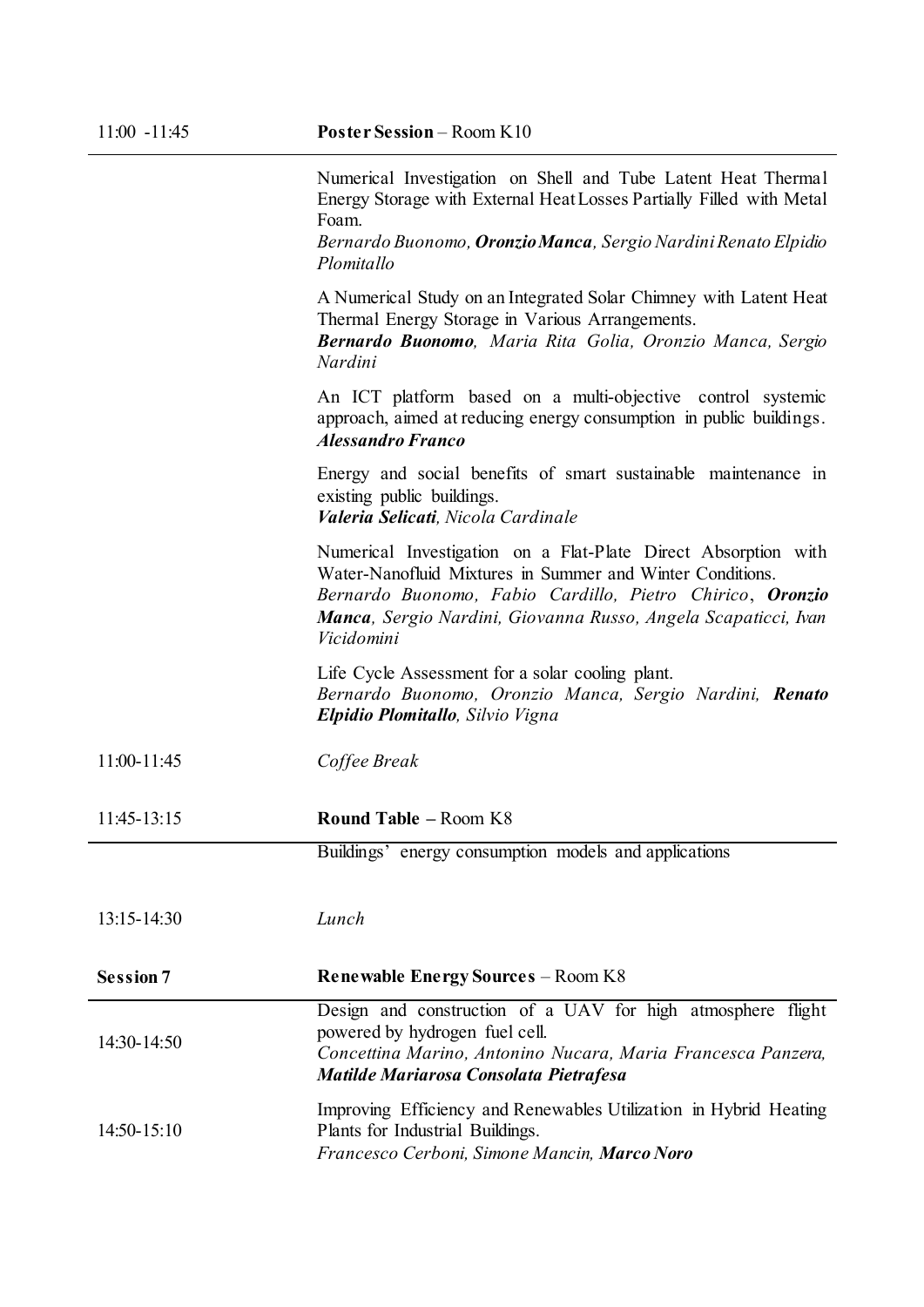Numerical Investigation on Shell and Tube Latent Heat Thermal Energy Storage with External Heat Losses Partially Filled with Metal Foam.

*Bernardo Buonomo, Oronzio Manca, Sergio Nardini Renato Elpidio Plomitallo*

A Numerical Study on an Integrated Solar Chimney with Latent Heat Thermal Energy Storage in Various Arrangements.

*Bernardo Buonomo, Maria Rita Golia, Oronzio Manca, Sergio Nardini*

An ICT platform based on a multi-objective control systemic approach, aimed at reducing energy consumption in public buildings. *Alessandro Franco*

Energy and social benefits of smart sustainable maintenance in existing public buildings. *Valeria Selicati, Nicola Cardinale*

Numerical Investigation on a Flat-Plate Direct Absorption with Water-Nanofluid Mixtures in Summer and Winter Conditions. *Bernardo Buonomo, Fabio Cardillo, Pietro Chirico*, *Oronzio Manca, Sergio Nardini, Giovanna Russo, Angela Scapaticci, Ivan Vicidomini*

Life Cycle Assessment for a solar cooling plant. *Bernardo Buonomo, Oronzio Manca, Sergio Nardini, Renato Elpidio Plomitallo, Silvio Vigna*

#### 11:45-13:15 **Round Table –** Room K8

Buildings' energy consumption models and applications

13:15-14:30 *Lunch* 

| $14:30-14:50$ | Design and construction of a UAV for high atmosphere flight<br>powered by hydrogen fuel cell.<br>Concettina Marino, Antonino Nucara, Maria Francesca Panzera,<br>Matilde Mariarosa Consolata Pietrafesa |
|---------------|---------------------------------------------------------------------------------------------------------------------------------------------------------------------------------------------------------|
| $14:50-15:10$ | Improving Efficiency and Renewables Utilization in Hybrid Heating<br>Plants for Industrial Buildings.<br>Francesco Cerboni. Simone Mancin. <b>Marco Noro</b>                                            |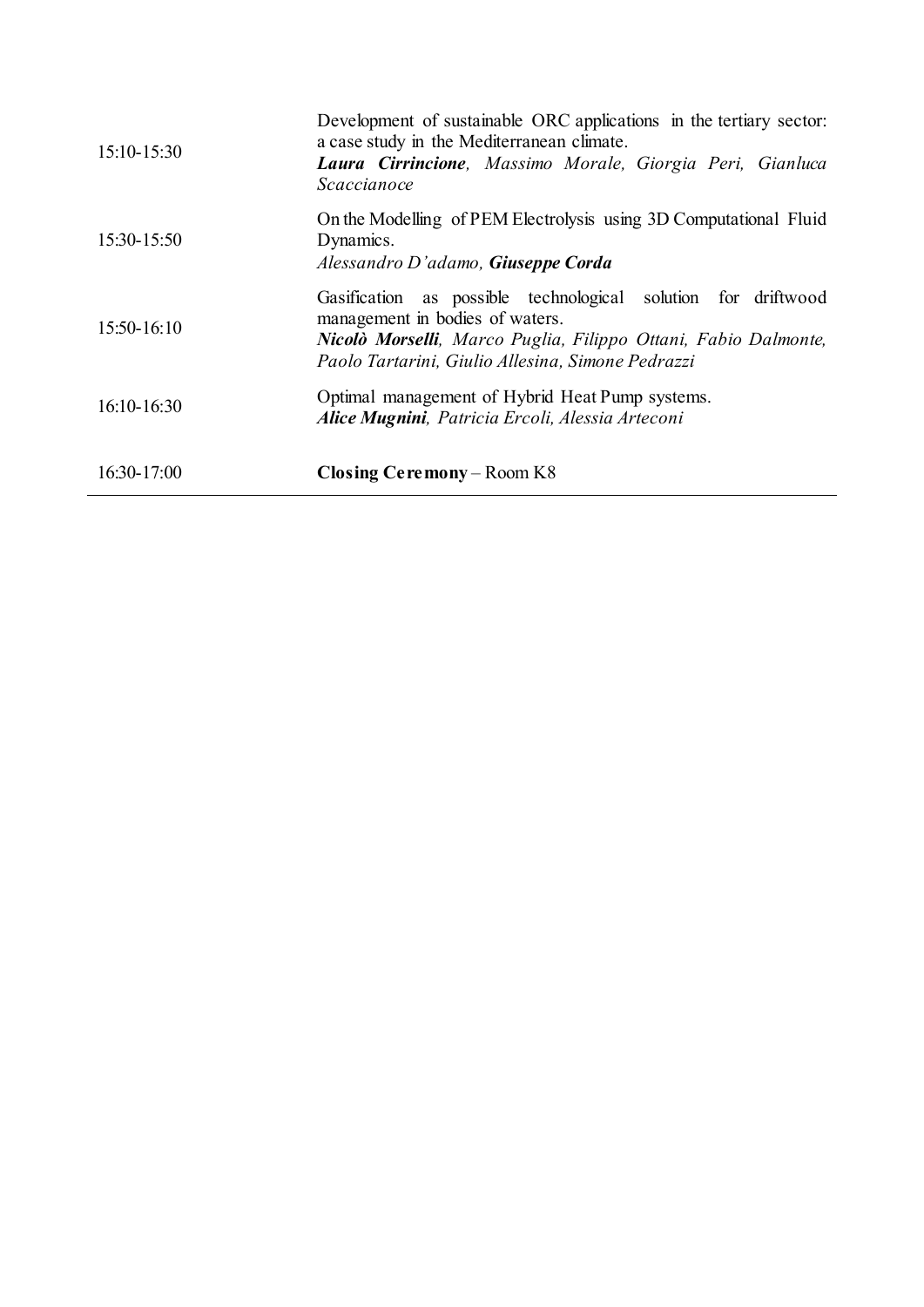| 15:10-15:30   | Development of sustainable ORC applications in the tertiary sector:<br>a case study in the Mediterranean climate.<br>Laura Cirrincione, Massimo Morale, Giorgia Peri, Gianluca<br>Scaccianoce                           |
|---------------|-------------------------------------------------------------------------------------------------------------------------------------------------------------------------------------------------------------------------|
| 15:30-15:50   | On the Modelling of PEM Electrolysis using 3D Computational Fluid<br>Dynamics.<br>Alessandro D'adamo, <b>Giuseppe Corda</b>                                                                                             |
| 15:50-16:10   | Gasification as possible technological solution for driftwood<br>management in bodies of waters.<br>Nicolò Morselli, Marco Puglia, Filippo Ottani, Fabio Dalmonte,<br>Paolo Tartarini, Giulio Allesina, Simone Pedrazzi |
| $16:10-16:30$ | Optimal management of Hybrid Heat Pump systems.<br>Alice Mugnini, Patricia Ercoli, Alessia Arteconi                                                                                                                     |
| 16:30-17:00   | <b>Closing Ceremony</b> – Room K8                                                                                                                                                                                       |